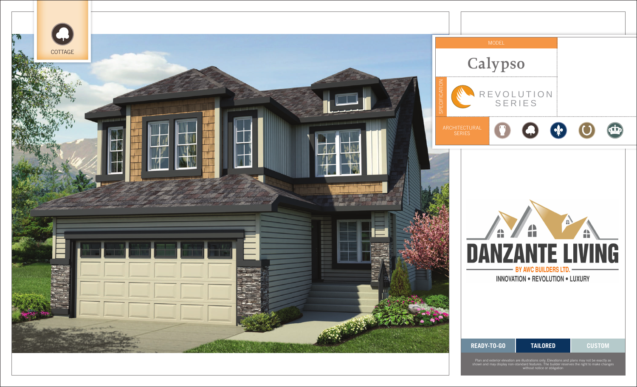

Plan and exterior elevation are illustrations only. Elevations and plans may not be exactly as shown and may display non-standard features. The builder reserves the right to make changes without notice or obligation